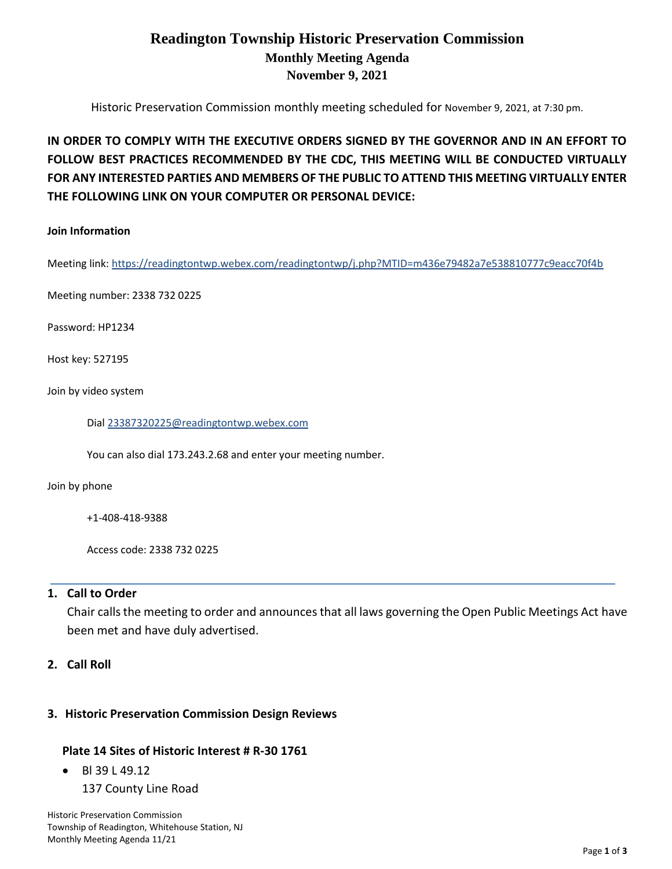## **Readington Township Historic Preservation Commission Monthly Meeting Agenda November 9, 2021**

Historic Preservation Commission monthly meeting scheduled for November 9, 2021, at 7:30 pm.

# **IN ORDER TO COMPLY WITH THE EXECUTIVE ORDERS SIGNED BY THE GOVERNOR AND IN AN EFFORT TO FOLLOW BEST PRACTICES RECOMMENDED BY THE CDC, THIS MEETING WILL BE CONDUCTED VIRTUALLY FOR ANY INTERESTED PARTIES AND MEMBERS OF THE PUBLIC TO ATTEND THIS MEETING VIRTUALLY ENTER THE FOLLOWING LINK ON YOUR COMPUTER OR PERSONAL DEVICE:**

#### **Join Information**

Meeting link[: https://readingtontwp.webex.com/readingtontwp/j.php?MTID=m436e79482a7e538810777c9eacc70f4b](https://readingtontwp.webex.com/readingtontwp/j.php?MTID=m436e79482a7e538810777c9eacc70f4b)

Meeting number: 2338 732 0225

Password: HP1234

Host key: 527195

Join by video system

Dial [23387320225@readingtontwp.webex.com](mailto:23387320225@readingtontwp.webex.com)

You can also dial 173.243.2.68 and enter your meeting number.

Join by phone

+1-408-418-9388

Access code: 2338 732 0225

#### **1. Call to Order**

Chair calls the meeting to order and announces that all laws governing the Open Public Meetings Act have been met and have duly advertised.

### **2. Call Roll**

#### **3. Historic Preservation Commission Design Reviews**

#### **Plate 14 Sites of Historic Interest # R-30 1761**

• Bl 39 L 49.12

137 County Line Road

Historic Preservation Commission Township of Readington, Whitehouse Station, NJ Monthly Meeting Agenda 11/21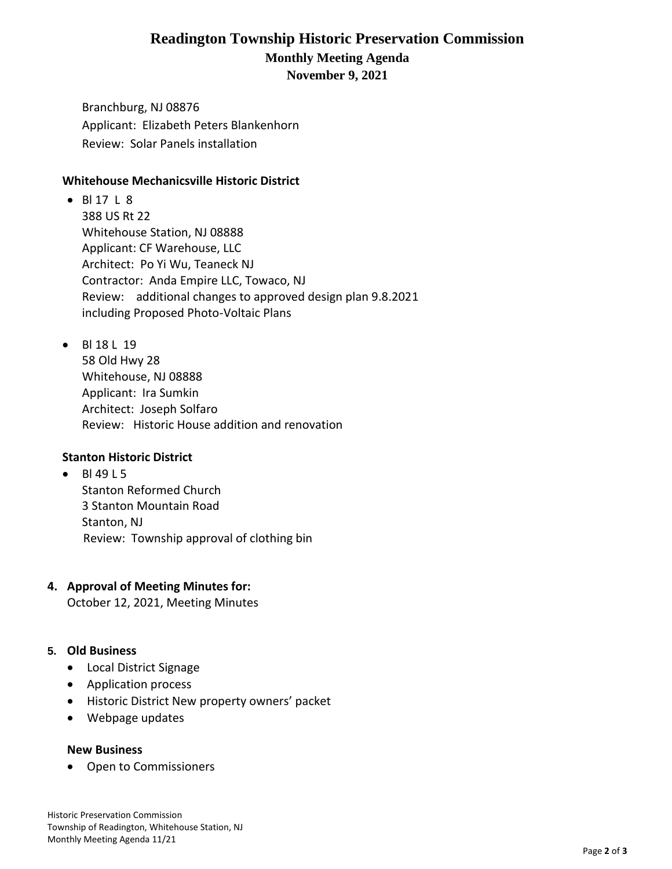## **Readington Township Historic Preservation Commission Monthly Meeting Agenda November 9, 2021**

Branchburg, NJ 08876 Applicant: Elizabeth Peters Blankenhorn Review: Solar Panels installation

### **Whitehouse Mechanicsville Historic District**

- Bl 17 L 8 388 US Rt 22 Whitehouse Station, NJ 08888 Applicant: CF Warehouse, LLC Architect: Po Yi Wu, Teaneck NJ Contractor: Anda Empire LLC, Towaco, NJ Review: additional changes to approved design plan 9.8.2021 including Proposed Photo-Voltaic Plans
- Bl 18 L 19

58 Old Hwy 28 Whitehouse, NJ 08888 Applicant: Ira Sumkin Architect: Joseph Solfaro Review: Historic House addition and renovation

### **Stanton Historic District**

• Bl 49 L 5 Stanton Reformed Church 3 Stanton Mountain Road Stanton, NJ Review: Township approval of clothing bin

### **4. Approval of Meeting Minutes for:**

October 12, 2021, Meeting Minutes

## **5. Old Business**

- Local District Signage
- Application process
- Historic District New property owners' packet
- Webpage updates

### **New Business**

• Open to Commissioners

Historic Preservation Commission Township of Readington, Whitehouse Station, NJ Monthly Meeting Agenda 11/21